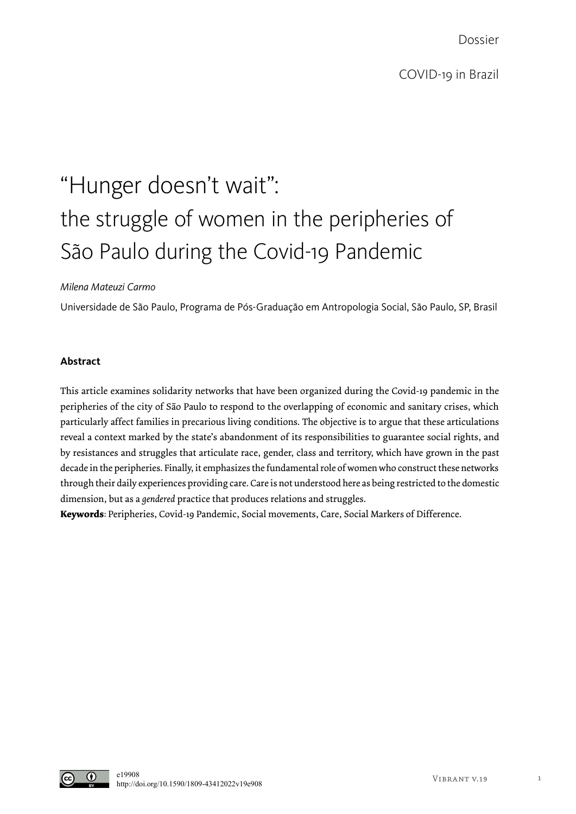Dossier

# "Hunger doesn't wait": the struggle of women in the peripheries of São Paulo during the Covid-19 Pandemic

## *Milena Mateuzi Carmo*

Universidade de São Paulo, Programa de Pós-Graduação em Antropologia Social, São Paulo, SP, Brasil

## **Abstract**

This article examines solidarity networks that have been organized during the Covid-19 pandemic in the peripheries of the city of São Paulo to respond to the overlapping of economic and sanitary crises, which particularly affect families in precarious living conditions. The objective is to argue that these articulations reveal a context marked by the state's abandonment of its responsibilities to guarantee social rights, and by resistances and struggles that articulate race, gender, class and territory, which have grown in the past decade in the peripheries. Finally, it emphasizes the fundamental role of women who construct these networks through their daily experiences providing care. Care is not understood here as being restricted to the domestic dimension, but as a *gendered* practice that produces relations and struggles.

**Keywords**: Peripheries, Covid-19 Pandemic, Social movements, Care, Social Markers of Difference.

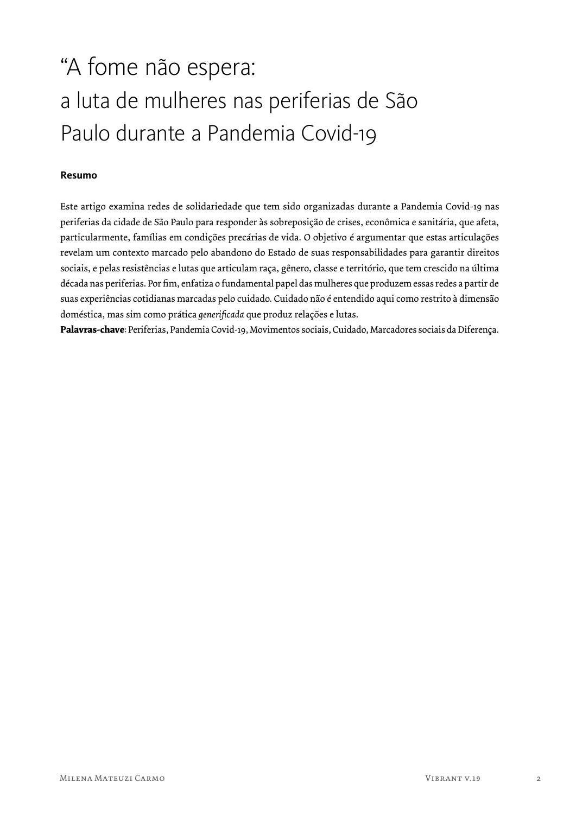## "A fome não espera: a luta de mulheres nas periferias de São Paulo durante a Pandemia Covid-19

### **Resumo**

Este artigo examina redes de solidariedade que tem sido organizadas durante a Pandemia Covid-19 nas periferias da cidade de São Paulo para responder às sobreposição de crises, econômica e sanitária, que afeta, particularmente, famílias em condições precárias de vida. O objetivo é argumentar que estas articulações revelam um contexto marcado pelo abandono do Estado de suas responsabilidades para garantir direitos sociais, e pelas resistências e lutas que articulam raça, gênero, classe e território, que tem crescido na última década nas periferias. Por fim, enfatiza o fundamental papel das mulheres que produzem essas redes a partir de suas experiências cotidianas marcadas pelo cuidado. Cuidado não é entendido aqui como restrito à dimensão doméstica, mas sim como prática *generificada* que produz relações e lutas.

**Palavras-chave**: Periferias, Pandemia Covid-19, Movimentos sociais, Cuidado, Marcadores sociais da Diferença.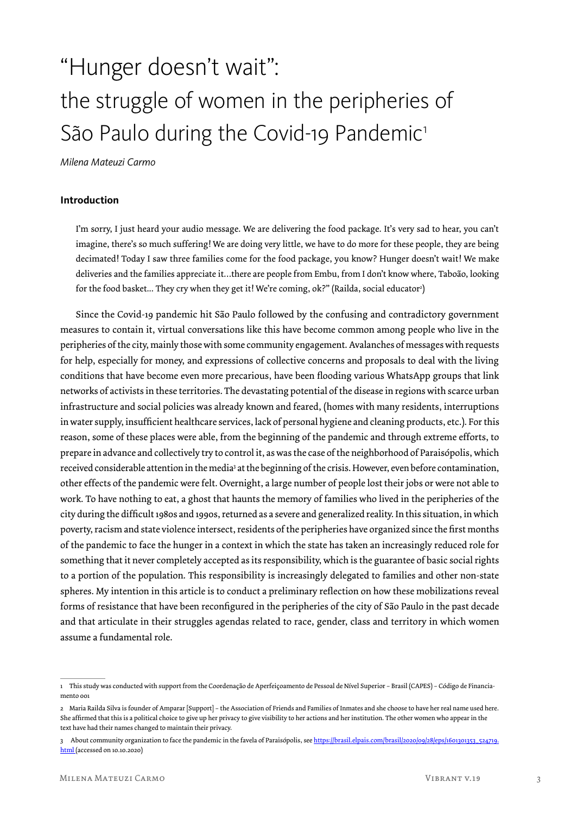# "Hunger doesn't wait": the struggle of women in the peripheries of São Paulo during the Covid-19 Pandemic<sup>1</sup>

*Milena Mateuzi Carmo*

#### **Introduction**

I'm sorry, I just heard your audio message. We are delivering the food package. It's very sad to hear, you can't imagine, there's so much suffering! We are doing very little, we have to do more for these people, they are being decimated! Today I saw three families come for the food package, you know? Hunger doesn't wait! We make deliveries and the families appreciate it…there are people from Embu, from I don't know where, Taboão, looking for the food basket… They cry when they get it! We're coming, ok?" (Railda, social educator $^2$ )

Since the Covid-19 pandemic hit São Paulo followed by the confusing and contradictory government measures to contain it, virtual conversations like this have become common among people who live in the peripheries of the city, mainly those with some community engagement. Avalanches of messages with requests for help, especially for money, and expressions of collective concerns and proposals to deal with the living conditions that have become even more precarious, have been flooding various WhatsApp groups that link networks of activists in these territories. The devastating potential of the disease in regions with scarce urban infrastructure and social policies was already known and feared, (homes with many residents, interruptions in water supply, insufficient healthcare services, lack of personal hygiene and cleaning products, etc.). For this reason, some of these places were able, from the beginning of the pandemic and through extreme efforts, to prepare in advance and collectively try to control it, as was the case of the neighborhood of Paraisópolis, which received considerable attention in the media<sup>3</sup> at the beginning of the crisis. However, even before contamination, other effects of the pandemic were felt. Overnight, a large number of people lost their jobs or were not able to work. To have nothing to eat, a ghost that haunts the memory of families who lived in the peripheries of the city during the difficult 1980s and 1990s, returned as a severe and generalized reality. In this situation, in which poverty, racism and state violence intersect, residents of the peripheries have organized since the first months of the pandemic to face the hunger in a context in which the state has taken an increasingly reduced role for something that it never completely accepted as its responsibility, which is the guarantee of basic social rights to a portion of the population. This responsibility is increasingly delegated to families and other non-state spheres. My intention in this article is to conduct a preliminary reflection on how these mobilizations reveal forms of resistance that have been reconfigured in the peripheries of the city of São Paulo in the past decade and that articulate in their struggles agendas related to race, gender, class and territory in which women assume a fundamental role.

<sup>1</sup> This study was conducted with support from the Coordenação de Aperfeiçoamento de Pessoal de Nível Superior – Brasil (CAPES) – Código de Financiamento ooi

<sup>2</sup> Maria Railda Silva is founder of Amparar [Support] – the Association of Friends and Families of Inmates and she choose to have her real name used here. She affirmed that this is a political choice to give up her privacy to give visibility to her actions and her institution. The other women who appear in the text have had their names changed to maintain their privacy.

<sup>3</sup> About community organization to face the pandemic in the favela of Paraisópolis, see https://brasil.elpais.com/brasil/2020/09/28/eps/1601301353\_524719. html (accessed on 10.10.2020)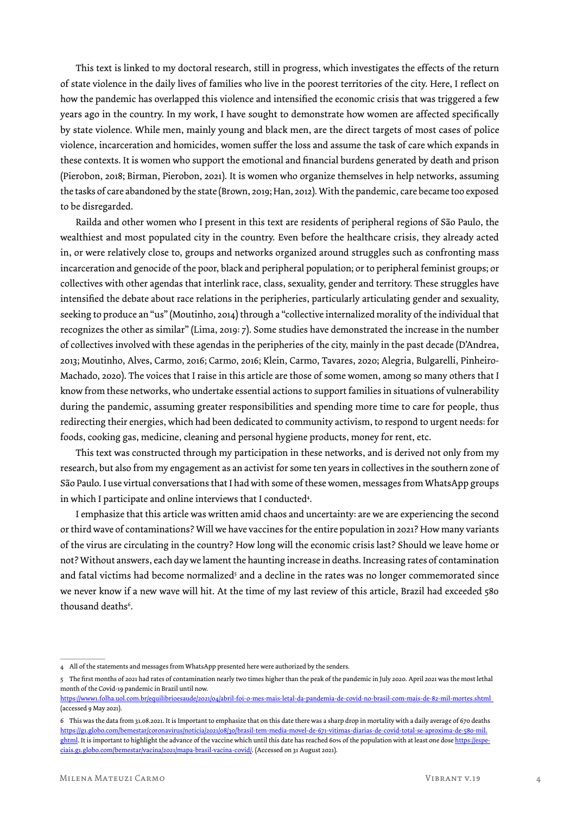This text is linked to my doctoral research, still in progress, which investigates the effects of the return of state violence in the daily lives of families who live in the poorest territories of the city. Here, I reflect on how the pandemic has overlapped this violence and intensified the economic crisis that was triggered a few years ago in the country. In my work, I have sought to demonstrate how women are affected specifically by state violence. While men, mainly young and black men, are the direct targets of most cases of police violence, incarceration and homicides, women suffer the loss and assume the task of care which expands in these contexts. It is women who support the emotional and financial burdens generated by death and prison (Pierobon, 2018; Birman, Pierobon, 2021). It is women who organize themselves in help networks, assuming the tasks of care abandoned by the state (Brown, 2019; Han, 2012). With the pandemic, care became too exposed to be disregarded.

Railda and other women who I present in this text are residents of peripheral regions of São Paulo, the wealthiest and most populated city in the country. Even before the healthcare crisis, they already acted in, or were relatively close to, groups and networks organized around struggles such as confronting mass incarceration and genocide of the poor, black and peripheral population; or to peripheral feminist groups; or collectives with other agendas that interlink race, class, sexuality, gender and territory. These struggles have intensified the debate about race relations in the peripheries, particularly articulating gender and sexuality, seeking to produce an "us" (Moutinho, 2014) through a "collective internalized morality of the individual that recognizes the other as similar" (Lima, 2019: 7). Some studies have demonstrated the increase in the number of collectives involved with these agendas in the peripheries of the city, mainly in the past decade (D'Andrea, 2013; Moutinho, Alves, Carmo, 2016; Carmo, 2016; Klein, Carmo, Tavares, 2020; Alegria, Bulgarelli, Pinheiro-Machado, 2020). The voices that I raise in this article are those of some women, among so many others that I know from these networks, who undertake essential actions to support families in situations of vulnerability during the pandemic, assuming greater responsibilities and spending more time to care for people, thus redirecting their energies, which had been dedicated to community activism, to respond to urgent needs: for foods, cooking gas, medicine, cleaning and personal hygiene products, money for rent, etc.

This text was constructed through my participation in these networks, and is derived not only from my research, but also from my engagement as an activist for some ten years in collectives in the southern zone of São Paulo. I use virtual conversations that I had with some of these women, messages from WhatsApp groups in which I participate and online interviews that I conducted<sup>4</sup>.

I emphasize that this article was written amid chaos and uncertainty: are we are experiencing the second or third wave of contaminations? Will we have vaccines for the entire population in 2021? How many variants of the virus are circulating in the country? How long will the economic crisis last? Should we leave home or not? Without answers, each day we lament the haunting increase in deaths. Increasing rates of contamination and fatal victims had become normalized<sup>5</sup> and a decline in the rates was no longer commemorated since we never know if a new wave will hit. At the time of my last review of this article, Brazil had exceeded 580 thousand deaths<sup>6</sup>.

<sup>4</sup> All of the statements and messages from WhatsApp presented here were authorized by the senders.

<sup>5</sup> The first months of 2021 had rates of contamination nearly two times higher than the peak of the pandemic in July 2020. April 2021 was the most lethal month of the Covid-19 pandemic in Brazil until now.

https://www1.folha.uol.com.br/equilibrioesaude/2021/04/abril-foi-o-mes-mais-letal-da-pandemia-de-covid-no-brasil-com-mais-de-82-mil-mortes.shtml (accessed 9 May 2021).

<sup>6</sup> This was the data from 31.08.2021. It is Important to emphasize that on this date there was a sharp drop in mortality with a daily average of 670 deaths https://g1.globo.com/bemestar/coronavirus/noticia/2021/08/30/brasil-tem-media-movel-de-671-vitimas-diarias-de-covid-total-se-aproxima-de-580-mil. ghtml. It is important to highlight the advance of the vaccine which until this date has reached 60% of the population with at least one dose https://especiais.g1.globo.com/bemestar/vacina/2021/mapa-brasil-vacina-covid/. (Accessed on 31 August 2021).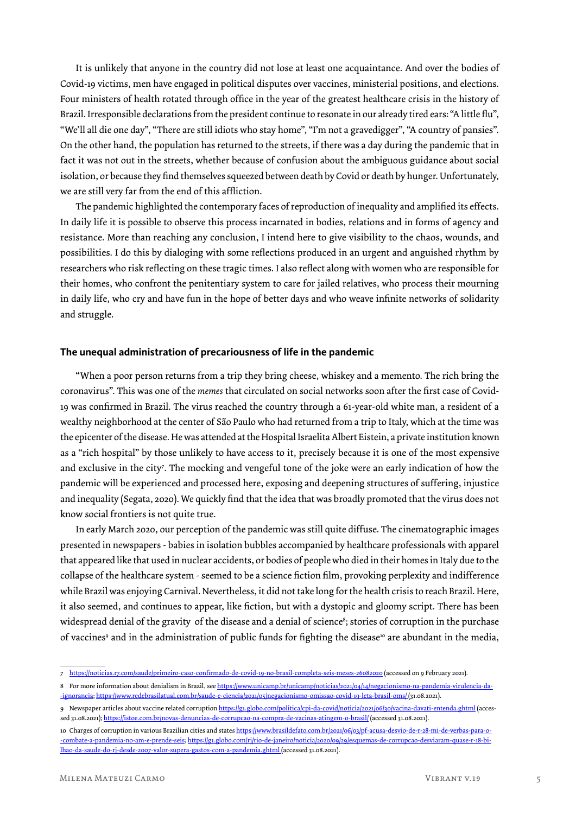It is unlikely that anyone in the country did not lose at least one acquaintance. And over the bodies of Covid-19 victims, men have engaged in political disputes over vaccines, ministerial positions, and elections. Four ministers of health rotated through office in the year of the greatest healthcare crisis in the history of Brazil. Irresponsible declarations from the president continue to resonate in our already tired ears: "A little flu", "We'll all die one day", "There are still idiots who stay home", "I'm not a gravedigger", "A country of pansies". On the other hand, the population has returned to the streets, if there was a day during the pandemic that in fact it was not out in the streets, whether because of confusion about the ambiguous guidance about social isolation, or because they find themselves squeezed between death by Covid or death by hunger. Unfortunately, we are still very far from the end of this affliction.

The pandemic highlighted the contemporary faces of reproduction of inequality and amplified its effects. In daily life it is possible to observe this process incarnated in bodies, relations and in forms of agency and resistance. More than reaching any conclusion, I intend here to give visibility to the chaos, wounds, and possibilities. I do this by dialoging with some reflections produced in an urgent and anguished rhythm by researchers who risk reflecting on these tragic times. I also reflect along with women who are responsible for their homes, who confront the penitentiary system to care for jailed relatives, who process their mourning in daily life, who cry and have fun in the hope of better days and who weave infinite networks of solidarity and struggle.

#### **The unequal administration of precariousness of life in the pandemic**

"When a poor person returns from a trip they bring cheese, whiskey and a memento. The rich bring the coronavirus". This was one of the *memes* that circulated on social networks soon after the first case of Covid-19 was confirmed in Brazil. The virus reached the country through a 61-year-old white man, a resident of a wealthy neighborhood at the center of São Paulo who had returned from a trip to Italy, which at the time was the epicenter of the disease. He was attended at the Hospital Israelita Albert Eistein, a private institution known as a "rich hospital" by those unlikely to have access to it, precisely because it is one of the most expensive and exclusive in the city7 . The mocking and vengeful tone of the joke were an early indication of how the pandemic will be experienced and processed here, exposing and deepening structures of suffering, injustice and inequality (Segata, 2020). We quickly find that the idea that was broadly promoted that the virus does not know social frontiers is not quite true.

In early March 2020, our perception of the pandemic was still quite diffuse. The cinematographic images presented in newspapers - babies in isolation bubbles accompanied by healthcare professionals with apparel that appeared like that used in nuclear accidents, or bodies of people who died in their homes in Italy due to the collapse of the healthcare system - seemed to be a science fiction film, provoking perplexity and indifference while Brazil was enjoying Carnival. Nevertheless, it did not take long for the health crisis to reach Brazil. Here, it also seemed, and continues to appear, like fiction, but with a dystopic and gloomy script. There has been widespread denial of the gravity of the disease and a denial of science<sup>s</sup>; stories of corruption in the purchase of vaccines<sup>9</sup> and in the administration of public funds for fighting the disease<sup>10</sup> are abundant in the media,

<sup>7</sup> https://noticias.r7.com/saude/primeiro-caso-confirmado-de-covid-19-no-brasil-completa-seis-meses-26082020 (accessed on 9 February 2021).

<sup>8</sup> For more information about denialism in Brazil, see https://www.unicamp.br/unicamp/noticias/2021/04/14/negacionismo-na-pandemia-virulencia-da--ignorancia; https://www.redebrasilatual.com.br/saude-e-ciencia/2021/05/negacionismo-omissao-covid-19-leta-brasil-oms/ (31.08.2021).

<sup>9</sup> Newspaper articles about vaccine related corruption https://g1.globo.com/politica/cpi-da-covid/noticia/2021/06/30/vacina-davati-entenda.ghtml (accessed 31.08.2021); https://istoe.com.br/novas-denuncias-de-corrupcao-na-compra-de-vacinas-atingem-o-brasil/ (accessed 31.08.2021).

<sup>10</sup> Charges of corruption in various Brazilian cities and states https://www.brasildefato.com.br/2021/06/03/pf-acusa-desvio-de-r-28-mi-de-verbas-para-o--combate-a-pandemia-no-am-e-prende-seis; https://g1.globo.com/rj/rio-de-janeiro/noticia/2020/09/29/esquemas-de-corrupcao-desviaram-quase-r-18-bilhao-da-saude-do-rj-desde-2007-valor-supera-gastos-com-a-pandemia.ghtml (accessed 31.08.2021).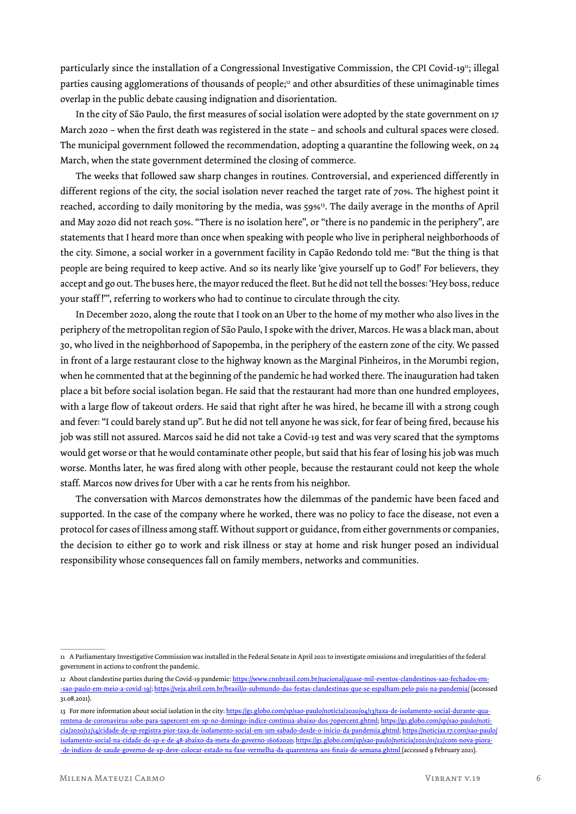particularly since the installation of a Congressional Investigative Commission, the CPI Covid-19<sup>11</sup>; illegal parties causing agglomerations of thousands of people;<sup>12</sup> and other absurdities of these unimaginable times overlap in the public debate causing indignation and disorientation.

In the city of São Paulo, the first measures of social isolation were adopted by the state government on 17 March 2020 – when the first death was registered in the state – and schools and cultural spaces were closed. The municipal government followed the recommendation, adopting a quarantine the following week, on 24 March, when the state government determined the closing of commerce.

The weeks that followed saw sharp changes in routines. Controversial, and experienced differently in different regions of the city, the social isolation never reached the target rate of 70%. The highest point it reached, according to daily monitoring by the media, was 59%<sup>13</sup>. The daily average in the months of April and May 2020 did not reach 50%. "There is no isolation here", or "there is no pandemic in the periphery", are statements that I heard more than once when speaking with people who live in peripheral neighborhoods of the city. Simone, a social worker in a government facility in Capão Redondo told me: "But the thing is that people are being required to keep active. And so its nearly like 'give yourself up to God!' For believers, they accept and go out. The buses here, the mayor reduced the fleet. But he did not tell the bosses: 'Hey boss, reduce your staff !'", referring to workers who had to continue to circulate through the city.

In December 2020, along the route that I took on an Uber to the home of my mother who also lives in the periphery of the metropolitan region of São Paulo, I spoke with the driver, Marcos. He was a black man, about 30, who lived in the neighborhood of Sapopemba, in the periphery of the eastern zone of the city. We passed in front of a large restaurant close to the highway known as the Marginal Pinheiros, in the Morumbi region, when he commented that at the beginning of the pandemic he had worked there. The inauguration had taken place a bit before social isolation began. He said that the restaurant had more than one hundred employees, with a large flow of takeout orders. He said that right after he was hired, he became ill with a strong cough and fever: "I could barely stand up". But he did not tell anyone he was sick, for fear of being fired, because his job was still not assured. Marcos said he did not take a Covid-19 test and was very scared that the symptoms would get worse or that he would contaminate other people, but said that his fear of losing his job was much worse. Months later, he was fired along with other people, because the restaurant could not keep the whole staff. Marcos now drives for Uber with a car he rents from his neighbor.

The conversation with Marcos demonstrates how the dilemmas of the pandemic have been faced and supported. In the case of the company where he worked, there was no policy to face the disease, not even a protocol for cases of illness among staff. Without support or guidance, from either governments or companies, the decision to either go to work and risk illness or stay at home and risk hunger posed an individual responsibility whose consequences fall on family members, networks and communities.

<sup>11</sup> A Parliamentary Investigative Commission was installed in the Federal Senate in April 2021 to investigate omissions and irregularities of the federal government in actions to confront the pandemic.

<sup>12</sup> About clandestine parties during the Covid-19 pandemic: https://www.cnnbrasil.com.br/nacional/quase-mil-eventos-clandestinos-sao-fechados-em--sao-paulo-em-meio-a-covid-19/; https://veja.abril.com.br/brasil/o-submundo-das-festas-clandestinas-que-se-espalham-pelo-pais-na-pandemia/ (accessed 31.08.2021).

<sup>13</sup> For more information about social isolation in the city: https://g1.globo.com/sp/sao-paulo/noticia/2020/04/13/taxa-de-isolamento-social-durante-quarentena-de-coronavirus-sobe-para-59percent-em-sp-no-domingo-indice-continua-abaixo-dos-70percent.ghtml; https://g1.globo.com/sp/sao-paulo/noticia/2020/12/14/cidade-de-sp-registra-pior-taxa-de-isolamento-social-em-um-sabado-desde-o-inicio-da-pandemia.ghtml; https://noticias.r7.com/sao-paulo/ isolamento-social-na-cidade-de-sp-e-de-48-abaixo-da-meta-do-governo-16062020; https://g1.globo.com/sp/sao-paulo/noticia/2021/01/22/com-nova-piora- -de-indices-de-saude-governo-de-sp-deve-colocar-estado-na-fase-vermelha-da-quarentena-aos-finais-de-semana.ghtml (accessed 9 February 2021).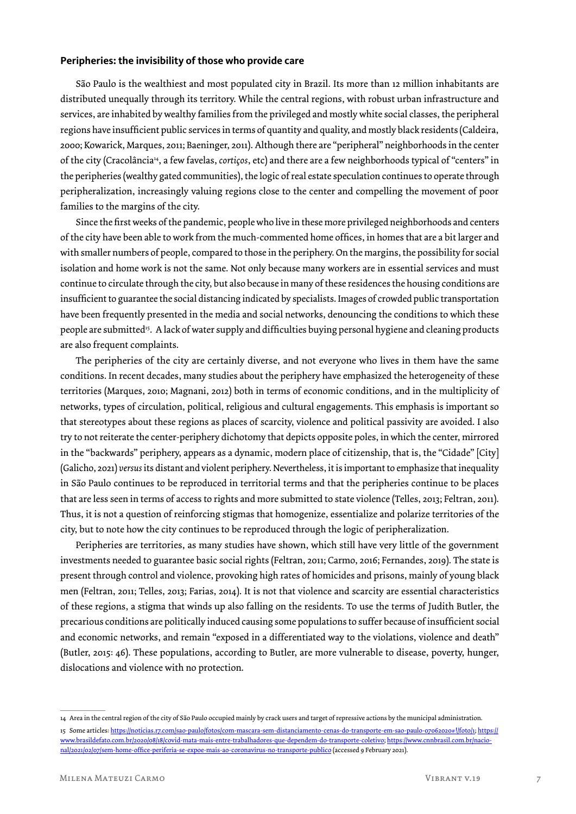### **Peripheries: the invisibility of those who provide care**

São Paulo is the wealthiest and most populated city in Brazil. Its more than 12 million inhabitants are distributed unequally through its territory. While the central regions, with robust urban infrastructure and services, are inhabited by wealthy families from the privileged and mostly white social classes, the peripheral regions have insufficient public services in terms of quantity and quality, and mostly black residents (Caldeira, 2000; Kowarick, Marques, 2011; Baeninger, 2011). Although there are "peripheral" neighborhoods in the center of the city (Cracolância14, a few favelas, *cortiços*, etc) and there are a few neighborhoods typical of "centers" in the peripheries (wealthy gated communities), the logic of real estate speculation continues to operate through peripheralization, increasingly valuing regions close to the center and compelling the movement of poor families to the margins of the city.

Since the first weeks of the pandemic, people who live in these more privileged neighborhoods and centers of the city have been able to work from the much-commented home offices, in homes that are a bit larger and with smaller numbers of people, compared to those in the periphery. On the margins, the possibility for social isolation and home work is not the same. Not only because many workers are in essential services and must continue to circulate through the city, but also because in many of these residences the housing conditions are insufficient to guarantee the social distancing indicated by specialists. Images of crowded public transportation have been frequently presented in the media and social networks, denouncing the conditions to which these people are submitted<sup>15</sup>. A lack of water supply and difficulties buying personal hygiene and cleaning products are also frequent complaints.

The peripheries of the city are certainly diverse, and not everyone who lives in them have the same conditions. In recent decades, many studies about the periphery have emphasized the heterogeneity of these territories (Marques, 2010; Magnani, 2012) both in terms of economic conditions, and in the multiplicity of networks, types of circulation, political, religious and cultural engagements. This emphasis is important so that stereotypes about these regions as places of scarcity, violence and political passivity are avoided. I also try to not reiterate the center-periphery dichotomy that depicts opposite poles, in which the center, mirrored in the "backwards" periphery, appears as a dynamic, modern place of citizenship, that is, the "Cidade" [City] (Galicho, 2021) *versus* its distant and violent periphery. Nevertheless, it is important to emphasize that inequality in São Paulo continues to be reproduced in territorial terms and that the peripheries continue to be places that are less seen in terms of access to rights and more submitted to state violence (Telles, 2013; Feltran, 2011). Thus, it is not a question of reinforcing stigmas that homogenize, essentialize and polarize territories of the city, but to note how the city continues to be reproduced through the logic of peripheralization.

Peripheries are territories, as many studies have shown, which still have very little of the government investments needed to guarantee basic social rights (Feltran, 2011; Carmo, 2016; Fernandes, 2019). The state is present through control and violence, provoking high rates of homicides and prisons, mainly of young black men (Feltran, 2011; Telles, 2013; Farias, 2014). It is not that violence and scarcity are essential characteristics of these regions, a stigma that winds up also falling on the residents. To use the terms of Judith Butler, the precarious conditions are politically induced causing some populations to suffer because of insufficient social and economic networks, and remain "exposed in a differentiated way to the violations, violence and death" (Butler, 2015: 46). These populations, according to Butler, are more vulnerable to disease, poverty, hunger, dislocations and violence with no protection.

<sup>14</sup> Area in the central region of the city of São Paulo occupied mainly by crack users and target of repressive actions by the municipal administration. 15 Some articles: https://noticias.r7.com/sao-paulo/fotos/com-mascara-sem-distanciamento-cenas-do-transporte-em-sao-paulo-07062020#!/foto/1; https:// www.brasildefato.com.br/2020/08/18/covid-mata-mais-entre-trabalhadores-que-dependem-do-transporte-coletivo; https://www.cnnbrasil.com.br/nacional/2021/02/07/sem-home-office-periferia-se-expoe-mais-ao-coronavirus-no-transporte-publico (accessed 9 February 2021).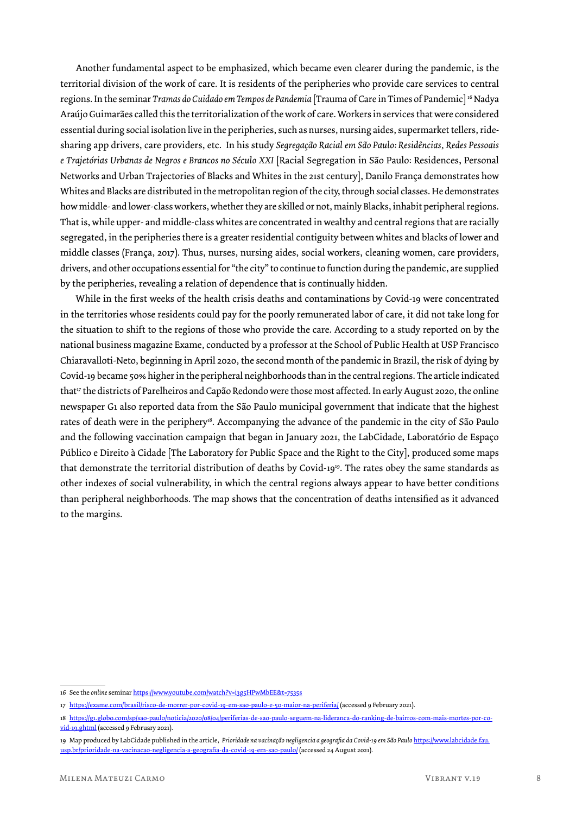Another fundamental aspect to be emphasized, which became even clearer during the pandemic, is the territorial division of the work of care. It is residents of the peripheries who provide care services to central regions. In the seminar *Tramas do Cuidado em Tempos de Pandemia* [Trauma of Care in Times of Pandemic] 16 Nadya Araújo Guimarães called this the territorialization of the work of care. Workers in services that were considered essential during social isolation live in the peripheries, such as nurses, nursing aides, supermarket tellers, ridesharing app drivers, care providers, etc. In his study *Segregação Racial em São Paulo: Residências, Redes Pessoais e Trajetórias Urbanas de Negros e Brancos no Século XXI* [Racial Segregation in São Paulo: Residences, Personal Networks and Urban Trajectories of Blacks and Whites in the 21st century], Danilo França demonstrates how Whites and Blacks are distributed in the metropolitan region of the city, through social classes. He demonstrates how middle- and lower-class workers, whether they are skilled or not, mainly Blacks, inhabit peripheral regions. That is, while upper- and middle-class whites are concentrated in wealthy and central regions that are racially segregated, in the peripheries there is a greater residential contiguity between whites and blacks of lower and middle classes (França, 2017). Thus, nurses, nursing aides, social workers, cleaning women, care providers, drivers, and other occupations essential for "the city" to continue to function during the pandemic, are supplied by the peripheries, revealing a relation of dependence that is continually hidden.

While in the first weeks of the health crisis deaths and contaminations by Covid-19 were concentrated in the territories whose residents could pay for the poorly remunerated labor of care, it did not take long for the situation to shift to the regions of those who provide the care. According to a study reported on by the national business magazine Exame, conducted by a professor at the School of Public Health at USP Francisco Chiaravalloti-Neto, beginning in April 2020, the second month of the pandemic in Brazil, the risk of dying by Covid-19 became 50% higher in the peripheral neighborhoods than in the central regions. The article indicated that<sup>17</sup> the districts of Parelheiros and Capão Redondo were those most affected. In early August 2020, the online newspaper G1 also reported data from the São Paulo municipal government that indicate that the highest rates of death were in the periphery<sup>18</sup>. Accompanying the advance of the pandemic in the city of São Paulo and the following vaccination campaign that began in January 2021, the LabCidade, Laboratório de Espaço Público e Direito à Cidade [The Laboratory for Public Space and the Right to the City], produced some maps that demonstrate the territorial distribution of deaths by Covid-1919. The rates obey the same standards as other indexes of social vulnerability, in which the central regions always appear to have better conditions than peripheral neighborhoods. The map shows that the concentration of deaths intensified as it advanced to the margins.

<sup>16</sup> See the *online* seminar https://www.youtube.com/watch?v=i3g5HPwMbEE&t=7535s

<sup>17</sup> https://exame.com/brasil/risco-de-morrer-por-covid-19-em-sao-paulo-e-50-maior-na-periferia/ (accessed 9 February 2021).

<sup>18</sup> https://g1.globo.com/sp/sao-paulo/noticia/2020/08/04/periferias-de-sao-paulo-seguem-na-lideranca-do-ranking-de-bairros-com-mais-mortes-por-covid-19.ghtml (accessed 9 February 2021).

<sup>19</sup> Map produced by LabCidade published in the article, *Prioridade na vacinação negligencia a geografia da Covid-19 em São Paulo* https://www.labcidade.fau. usp.br/prioridade-na-vacinacao-negligencia-a-geografia-da-covid-19-em-sao-paulo/ (accessed 24 August 2021).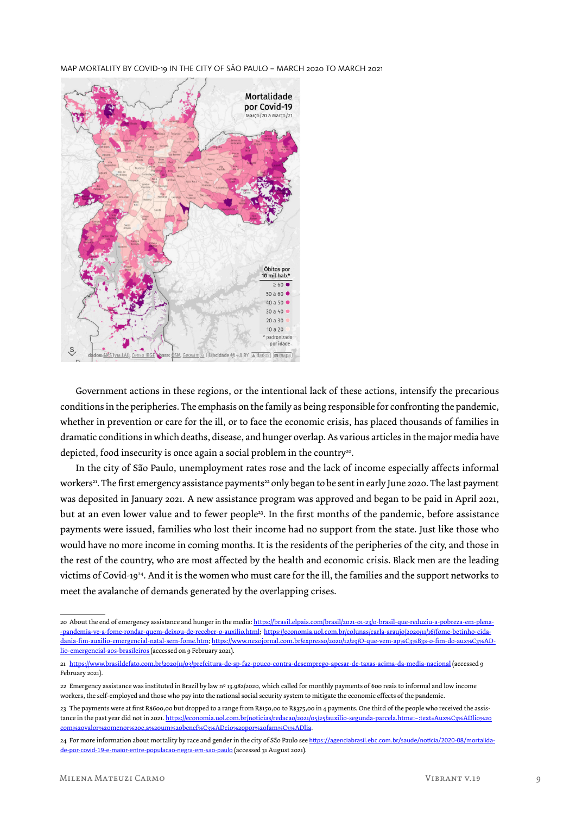MAP MORTALITY BY COVID-19 IN THE CITY OF SÃO PAULO – MARCH 2020 TO MARCH 2021



Government actions in these regions, or the intentional lack of these actions, intensify the precarious conditions in the peripheries. The emphasis on the family as being responsible for confronting the pandemic, whether in prevention or care for the ill, or to face the economic crisis, has placed thousands of families in dramatic conditions in which deaths, disease, and hunger overlap. As various articles in the major media have depicted, food insecurity is once again a social problem in the country<sup>20</sup>.

In the city of São Paulo, unemployment rates rose and the lack of income especially affects informal workers<sup>21</sup>. The first emergency assistance payments<sup>22</sup> only began to be sent in early June 2020. The last payment was deposited in January 2021. A new assistance program was approved and began to be paid in April 2021, but at an even lower value and to fewer people<sup>23</sup>. In the first months of the pandemic, before assistance payments were issued, families who lost their income had no support from the state. Just like those who would have no more income in coming months. It is the residents of the peripheries of the city, and those in the rest of the country, who are most affected by the health and economic crisis. Black men are the leading victims of Covid-1924. And it is the women who must care for the ill, the families and the support networks to meet the avalanche of demands generated by the overlapping crises.

<sup>20</sup> About the end of emergency assistance and hunger in the media: https://brasil.elpais.com/brasil/2021-01-23/o-brasil-que-reduziu-a-pobreza-em-plena- -pandemia-ve-a-fome-rondar-quem-deixou-de-receber-o-auxilio.html; https://economia.uol.com.br/colunas/carla-araujo/2020/11/16/fome-betinho-cidadania-fim-auxilio-emergencial-natal-sem-fome.htm; https://www.nexojornal.com.br/expresso/2020/12/29/O-que-vem-ap%C3%B3s-o-fim-do-aux%C3%ADlio-emergencial-aos-brasileiros (accessed on 9 February 2021).

<sup>21</sup> https://www.brasildefato.com.br/2020/11/03/prefeitura-de-sp-faz-pouco-contra-desemprego-apesar-de-taxas-acima-da-media-nacional (accessed 9 February 2021).

<sup>22</sup> Emergency assistance was instituted in Brazil by law nº 13.982/2020, which called for monthly payments of 600 reais to informal and low income workers, the self-employed and those who pay into the national social security system to mitigate the economic effects of the pandemic.

<sup>23</sup> The payments were at first R\$600,00 but dropped to a range from R\$150,00 to R\$375,00 in 4 payments. One third of the people who received the assistance in the past year did not in 2021. https://economia.uol.com.br/noticias/redacao/2021/05/25/auxilio-segunda-parcela.htm#:~:text=Aux%C3%ADlio%20 com%20valor%20menor%20e,a%20um%20benef%C3%ADcio%20por%20fam%C3%ADlia.

<sup>24</sup> For more information about mortality by race and gender in the city of São Paulo see https://agenciabrasil.ebc.com.br/saude/noticia/2020-08/mortalidade-por-covid-19-e-maior-entre-populacao-negra-em-sao-paulo (accessed 31 August 2021).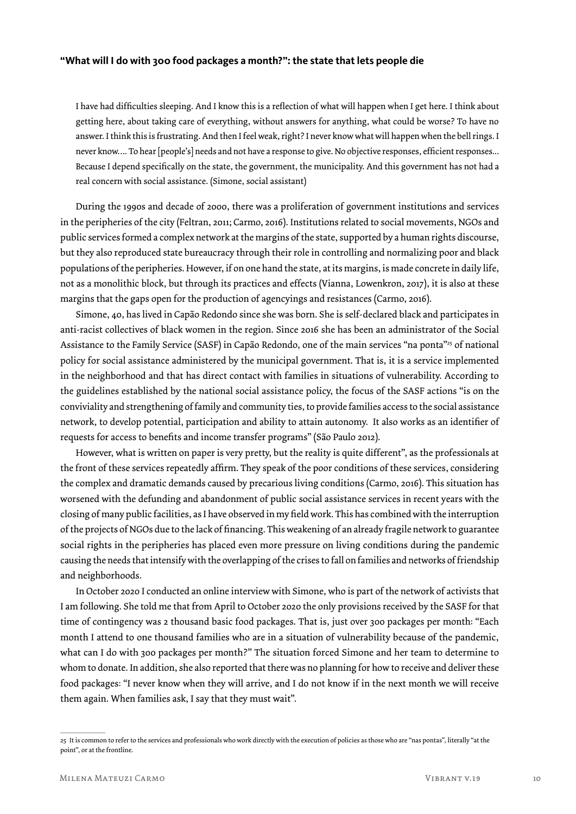#### **"What will I do with 300 food packages a month?": the state that lets people die**

I have had difficulties sleeping. And I know this is a reflection of what will happen when I get here. I think about getting here, about taking care of everything, without answers for anything, what could be worse? To have no answer. I think this is frustrating. And then I feel weak, right? I never know what will happen when the bell rings. I never know…. To hear [people's] needs and not have a response to give. No objective responses, efficient responses... Because I depend specifically on the state, the government, the municipality. And this government has not had a real concern with social assistance. (Simone, social assistant)

During the 1990s and decade of 2000, there was a proliferation of government institutions and services in the peripheries of the city (Feltran, 2011; Carmo, 2016). Institutions related to social movements, NGOs and public services formed a complex network at the margins of the state, supported by a human rights discourse, but they also reproduced state bureaucracy through their role in controlling and normalizing poor and black populations of the peripheries. However, if on one hand the state, at its margins, is made concrete in daily life, not as a monolithic block, but through its practices and effects (Vianna, Lowenkron, 2017), it is also at these margins that the gaps open for the production of agencyings and resistances (Carmo, 2016).

Simone, 40, has lived in Capão Redondo since she was born. She is self-declared black and participates in anti-racist collectives of black women in the region. Since 2016 she has been an administrator of the Social Assistance to the Family Service (SASF) in Capão Redondo, one of the main services "na ponta"<sup>25</sup> of national policy for social assistance administered by the municipal government. That is, it is a service implemented in the neighborhood and that has direct contact with families in situations of vulnerability. According to the guidelines established by the national social assistance policy, the focus of the SASF actions "is on the conviviality and strengthening of family and community ties, to provide families access to the social assistance network, to develop potential, participation and ability to attain autonomy. It also works as an identifier of requests for access to benefits and income transfer programs" (São Paulo 2012).

However, what is written on paper is very pretty, but the reality is quite different", as the professionals at the front of these services repeatedly affirm. They speak of the poor conditions of these services, considering the complex and dramatic demands caused by precarious living conditions (Carmo, 2016). This situation has worsened with the defunding and abandonment of public social assistance services in recent years with the closing of many public facilities, as I have observed in my field work. This has combined with the interruption of the projects of NGOs due to the lack of financing. This weakening of an already fragile network to guarantee social rights in the peripheries has placed even more pressure on living conditions during the pandemic causing the needs that intensify with the overlapping of the crises to fall on families and networks of friendship and neighborhoods.

In October 2020 I conducted an online interview with Simone, who is part of the network of activists that I am following. She told me that from April to October 2020 the only provisions received by the SASF for that time of contingency was 2 thousand basic food packages. That is, just over 300 packages per month: "Each month I attend to one thousand families who are in a situation of vulnerability because of the pandemic, what can I do with 300 packages per month?" The situation forced Simone and her team to determine to whom to donate. In addition, she also reported that there was no planning for how to receive and deliver these food packages: "I never know when they will arrive, and I do not know if in the next month we will receive them again. When families ask, I say that they must wait".

<sup>25</sup> It is common to refer to the services and professionals who work directly with the execution of policies as those who are "nas pontas", literally "at the point", or at the frontline.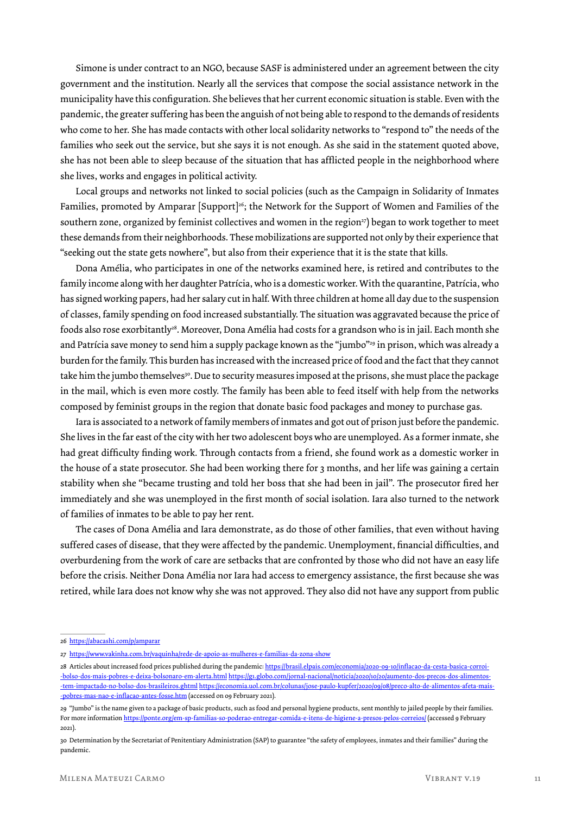Simone is under contract to an NGO, because SASF is administered under an agreement between the city government and the institution. Nearly all the services that compose the social assistance network in the municipality have this configuration. She believes that her current economic situation is stable. Even with the pandemic, the greater suffering has been the anguish of not being able to respond to the demands of residents who come to her. She has made contacts with other local solidarity networks to "respond to" the needs of the families who seek out the service, but she says it is not enough. As she said in the statement quoted above, she has not been able to sleep because of the situation that has afflicted people in the neighborhood where she lives, works and engages in political activity.

Local groups and networks not linked to social policies (such as the Campaign in Solidarity of Inmates Families, promoted by Amparar [Support]<sup>26</sup>; the Network for the Support of Women and Families of the southern zone, organized by feminist collectives and women in the region<sup>27</sup>) began to work together to meet these demands from their neighborhoods. These mobilizations are supported not only by their experience that "seeking out the state gets nowhere", but also from their experience that it is the state that kills.

Dona Amélia, who participates in one of the networks examined here, is retired and contributes to the family income along with her daughter Patrícia, who is a domestic worker. With the quarantine, Patrícia, who has signed working papers, had her salary cut in half. With three children at home all day due to the suspension of classes, family spending on food increased substantially. The situation was aggravated because the price of foods also rose exorbitantly<sup>28</sup>. Moreover, Dona Amélia had costs for a grandson who is in jail. Each month she and Patrícia save money to send him a supply package known as the "jumbo"29 in prison, which was already a burden for the family. This burden has increased with the increased price of food and the fact that they cannot take him the jumbo themselves<sup>30</sup>. Due to security measures imposed at the prisons, she must place the package in the mail, which is even more costly. The family has been able to feed itself with help from the networks composed by feminist groups in the region that donate basic food packages and money to purchase gas.

Iara is associated to a network of family members of inmates and got out of prison just before the pandemic. She lives in the far east of the city with her two adolescent boys who are unemployed. As a former inmate, she had great difficulty finding work. Through contacts from a friend, she found work as a domestic worker in the house of a state prosecutor. She had been working there for 3 months, and her life was gaining a certain stability when she "became trusting and told her boss that she had been in jail". The prosecutor fired her immediately and she was unemployed in the first month of social isolation. Iara also turned to the network of families of inmates to be able to pay her rent.

The cases of Dona Amélia and Iara demonstrate, as do those of other families, that even without having suffered cases of disease, that they were affected by the pandemic. Unemployment, financial difficulties, and overburdening from the work of care are setbacks that are confronted by those who did not have an easy life before the crisis. Neither Dona Amélia nor Iara had access to emergency assistance, the first because she was retired, while Iara does not know why she was not approved. They also did not have any support from public

<sup>26</sup> https://abacashi.com/p/amparar

<sup>27</sup> https://www.vakinha.com.br/vaquinha/rede-de-apoio-as-mulheres-e-familias-da-zona-show

<sup>28</sup> Articles about increased food prices published during the pandemic: https://brasil.elpais.com/economia/2020-09-10/inflacao-da-cesta-basica-corroi--bolso-dos-mais-pobres-e-deixa-bolsonaro-em-alerta.html https://g1.globo.com/jornal-nacional/noticia/2020/10/20/aumento-dos-precos-dos-alimentos- -tem-impactado-no-bolso-dos-brasileiros.ghtml https://economia.uol.com.br/colunas/jose-paulo-kupfer/2020/09/08/preco-alto-de-alimentos-afeta-mais- -pobres-mas-nao-e-inflacao-antes-fosse.htm (accessed on 09 February 2021).

<sup>29 &</sup>quot;Jumbo" is the name given to a package of basic products, such as food and personal hygiene products, sent monthly to jailed people by their families. For more information https://ponte.org/em-sp-familias-so-poderao-entregar-comida-e-itens-de-higiene-a-presos-pelos-correios/ (accessed 9 February 2021).

<sup>30</sup> Determination by the Secretariat of Penitentiary Administration (SAP) to guarantee "the safety of employees, inmates and their families" during the pandemic.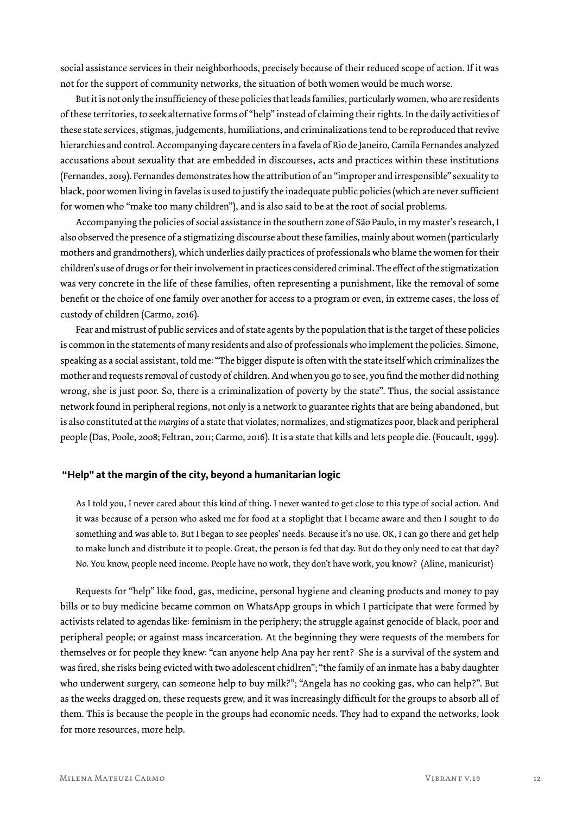social assistance services in their neighborhoods, precisely because of their reduced scope of action. If it was not for the support of community networks, the situation of both women would be much worse.

But it is not only the insufficiency of these policies that leads families, particularly women, who are residents of these territories, to seek alternative forms of "help" instead of claiming their rights. In the daily activities of these state services, stigmas, judgements, humiliations, and criminalizations tend to be reproduced that revive hierarchies and control. Accompanying daycare centers in a favela of Rio de Janeiro, Camila Fernandes analyzed accusations about sexuality that are embedded in discourses, acts and practices within these institutions (Fernandes, 2019). Fernandes demonstrates how the attribution of an "improper and irresponsible" sexuality to black, poor women living in favelas is used to justify the inadequate public policies (which are never sufficient for women who "make too many children"), and is also said to be at the root of social problems.

Accompanying the policies of social assistance in the southern zone of São Paulo, in my master's research, I also observed the presence of a stigmatizing discourse about these families, mainly about women (particularly mothers and grandmothers), which underlies daily practices of professionals who blame the women for their children's use of drugs or for their involvement in practices considered criminal. The effect of the stigmatization was very concrete in the life of these families, often representing a punishment, like the removal of some benefit or the choice of one family over another for access to a program or even, in extreme cases, the loss of custody of children (Carmo, 2016).

Fear and mistrust of public services and of state agents by the population that is the target of these policies is common in the statements of many residents and also of professionals who implement the policies. Simone, speaking as a social assistant, told me: "The bigger dispute is often with the state itself which criminalizes the mother and requests removal of custody of children. And when you go to see, you find the mother did nothing wrong, she is just poor. So, there is a criminalization of poverty by the state". Thus, the social assistance network found in peripheral regions, not only is a network to guarantee rights that are being abandoned, but is also constituted at the *margins* of a state that violates, normalizes, and stigmatizes poor, black and peripheral people (Das, Poole, 2008; Feltran, 2011; Carmo, 2016). It is a state that kills and lets people die. (Foucault, 1999).

#### **"Help" at the margin of the city, beyond a humanitarian logic**

As I told you, I never cared about this kind of thing. I never wanted to get close to this type of social action. And it was because of a person who asked me for food at a stoplight that I became aware and then I sought to do something and was able to. But I began to see peoples' needs. Because it's no use. OK, I can go there and get help to make lunch and distribute it to people. Great, the person is fed that day. But do they only need to eat that day? No. You know, people need income. People have no work, they don't have work, you know? (Aline, manicurist)

Requests for "help" like food, gas, medicine, personal hygiene and cleaning products and money to pay bills or to buy medicine became common on WhatsApp groups in which I participate that were formed by activists related to agendas like: feminism in the periphery; the struggle against genocide of black, poor and peripheral people; or against mass incarceration. At the beginning they were requests of the members for themselves or for people they knew: "can anyone help Ana pay her rent? She is a survival of the system and was fired, she risks being evicted with two adolescent chidlren"; "the family of an inmate has a baby daughter who underwent surgery, can someone help to buy milk?"; "Angela has no cooking gas, who can help?". But as the weeks dragged on, these requests grew, and it was increasingly difficult for the groups to absorb all of them. This is because the people in the groups had economic needs. They had to expand the networks, look for more resources, more help.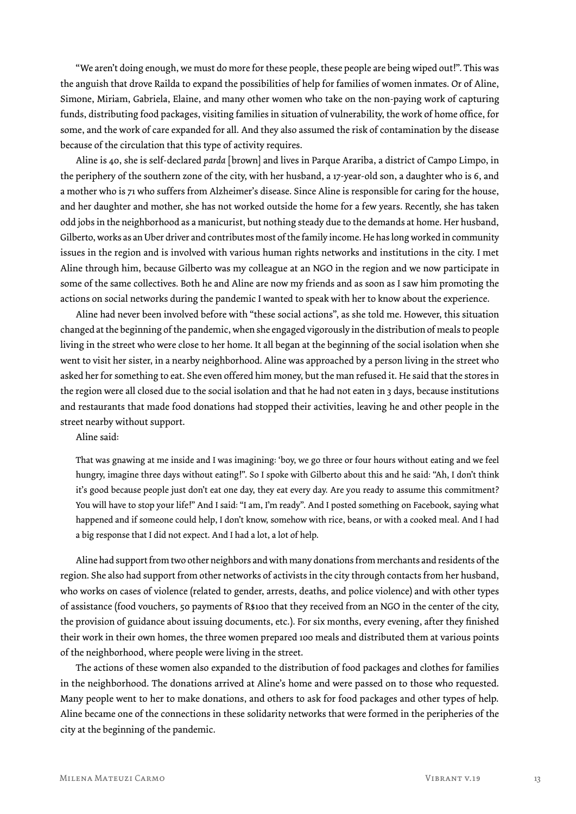"We aren't doing enough, we must do more for these people, these people are being wiped out!". This was the anguish that drove Railda to expand the possibilities of help for families of women inmates. Or of Aline, Simone, Miriam, Gabriela, Elaine, and many other women who take on the non-paying work of capturing funds, distributing food packages, visiting families in situation of vulnerability, the work of home office, for some, and the work of care expanded for all. And they also assumed the risk of contamination by the disease because of the circulation that this type of activity requires.

Aline is 40, she is self-declared *parda* [brown] and lives in Parque Arariba, a district of Campo Limpo, in the periphery of the southern zone of the city, with her husband, a 17-year-old son, a daughter who is 6, and a mother who is 71 who suffers from Alzheimer's disease. Since Aline is responsible for caring for the house, and her daughter and mother, she has not worked outside the home for a few years. Recently, she has taken odd jobs in the neighborhood as a manicurist, but nothing steady due to the demands at home. Her husband, Gilberto, works as an Uber driver and contributes most of the family income. He has long worked in community issues in the region and is involved with various human rights networks and institutions in the city. I met Aline through him, because Gilberto was my colleague at an NGO in the region and we now participate in some of the same collectives. Both he and Aline are now my friends and as soon as I saw him promoting the actions on social networks during the pandemic I wanted to speak with her to know about the experience.

Aline had never been involved before with "these social actions", as she told me. However, this situation changed at the beginning of the pandemic, when she engaged vigorously in the distribution of meals to people living in the street who were close to her home. It all began at the beginning of the social isolation when she went to visit her sister, in a nearby neighborhood. Aline was approached by a person living in the street who asked her for something to eat. She even offered him money, but the man refused it. He said that the stores in the region were all closed due to the social isolation and that he had not eaten in 3 days, because institutions and restaurants that made food donations had stopped their activities, leaving he and other people in the street nearby without support.

Aline said:

That was gnawing at me inside and I was imagining: 'boy, we go three or four hours without eating and we feel hungry, imagine three days without eating!". So I spoke with Gilberto about this and he said: "Ah, I don't think it's good because people just don't eat one day, they eat every day. Are you ready to assume this commitment? You will have to stop your life!" And I said: "I am, I'm ready". And I posted something on Facebook, saying what happened and if someone could help, I don't know, somehow with rice, beans, or with a cooked meal. And I had a big response that I did not expect. And I had a lot, a lot of help.

Aline had support from two other neighbors and with many donations from merchants and residents of the region. She also had support from other networks of activists in the city through contacts from her husband, who works on cases of violence (related to gender, arrests, deaths, and police violence) and with other types of assistance (food vouchers, 50 payments of R\$100 that they received from an NGO in the center of the city, the provision of guidance about issuing documents, etc.). For six months, every evening, after they finished their work in their own homes, the three women prepared 100 meals and distributed them at various points of the neighborhood, where people were living in the street.

The actions of these women also expanded to the distribution of food packages and clothes for families in the neighborhood. The donations arrived at Aline's home and were passed on to those who requested. Many people went to her to make donations, and others to ask for food packages and other types of help. Aline became one of the connections in these solidarity networks that were formed in the peripheries of the city at the beginning of the pandemic.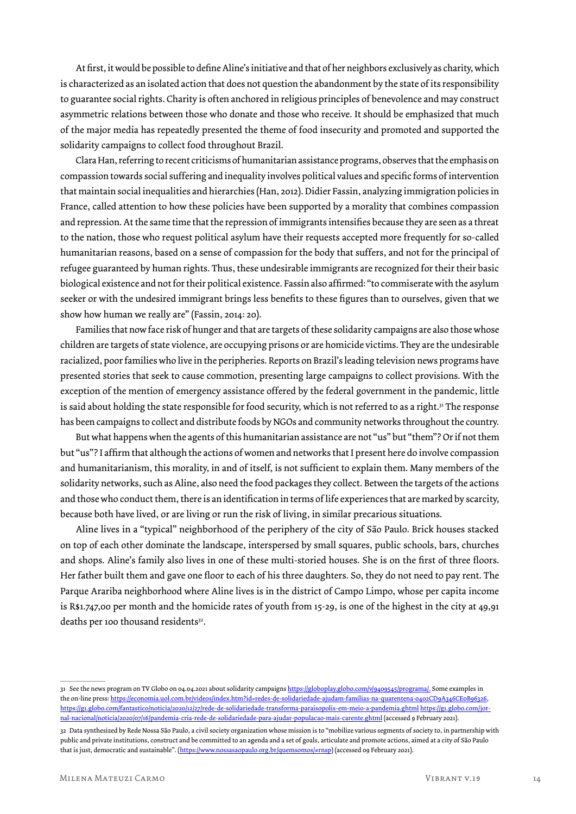At first, it would be possible to define Aline's initiative and that of her neighbors exclusively as charity, which is characterized as an isolated action that does not question the abandonment by the state of its responsibility to guarantee social rights. Charity is often anchored in religious principles of benevolence and may construct asymmetric relations between those who donate and those who receive. It should be emphasized that much of the major media has repeatedly presented the theme of food insecurity and promoted and supported the solidarity campaigns to collect food throughout Brazil.

Clara Han, referring to recent criticisms of humanitarian assistance programs, observes that the emphasis on compassion towards social suffering and inequality involves political values and specific forms of intervention that maintain social inequalities and hierarchies (Han, 2012). Didier Fassin, analyzing immigration policies in France, called attention to how these policies have been supported by a morality that combines compassion and repression. At the same time that the repression of immigrants intensifies because they are seen as a threat to the nation, those who request political asylum have their requests accepted more frequently for so-called humanitarian reasons, based on a sense of compassion for the body that suffers, and not for the principal of refugee guaranteed by human rights. Thus, these undesirable immigrants are recognized for their their basic biological existence and not for their political existence. Fassin also affirmed: "to commiserate with the asylum seeker or with the undesired immigrant brings less benefits to these figures than to ourselves, given that we show how human we really are" (Fassin, 2014: 20).

Families that now face risk of hunger and that are targets of these solidarity campaigns are also those whose children are targets of state violence, are occupying prisons or are homicide victims. They are the undesirable racialized, poor families who live in the peripheries. Reports on Brazil's leading television news programs have presented stories that seek to cause commotion, presenting large campaigns to collect provisions. With the exception of the mention of emergency assistance offered by the federal government in the pandemic, little is said about holding the state responsible for food security, which is not referred to as a right.<sup>31</sup> The response has been campaigns to collect and distribute foods by NGOs and community networks throughout the country.

But what happens when the agents of this humanitarian assistance are not "us" but "them"? Or if not them but "us"? I affirm that although the actions of women and networks that I present here do involve compassion and humanitarianism, this morality, in and of itself, is not sufficient to explain them. Many members of the solidarity networks, such as Aline, also need the food packages they collect. Between the targets of the actions and those who conduct them, there is an identification in terms of life experiences that are marked by scarcity, because both have lived, or are living or run the risk of living, in similar precarious situations.

Aline lives in a "typical" neighborhood of the periphery of the city of São Paulo. Brick houses stacked on top of each other dominate the landscape, interspersed by small squares, public schools, bars, churches and shops. Aline's family also lives in one of these multi-storied houses. She is on the first of three floors. Her father built them and gave one floor to each of his three daughters. So, they do not need to pay rent. The Parque Arariba neighborhood where Aline lives is in the district of Campo Limpo, whose per capita income is R\$1.747,00 per month and the homicide rates of youth from 15-29, is one of the highest in the city at 49,91 deaths per 100 thousand residents<sup>32</sup>.

<sup>31</sup> See the news program on TV Globo on 04.04.2021 about solidarity campaigns https://globoplay.globo.com/v/9409545/programa/. Some examples in the on-line press: https://economia.uol.com.br/videos/index.htm?id=redes-de-solidariedade-ajudam-familias-na-quarentena-0402CD9A346CE0B96326, https://g1.globo.com/fantastico/noticia/2020/12/27/rede-de-solidariedade-transforma-paraisopolis-em-meio-a-pandemia.ghtml https://g1.globo.com/jornal-nacional/noticia/2020/07/16/pandemia-cria-rede-de-solidariedade-para-ajudar-populacao-mais-carente.ghtml (accessed 9 February 2021).

<sup>32</sup> Data synthesized by Rede Nossa São Paulo, a civil society organization whose mission is to "mobilize various segments of society to, in partnership with public and private institutions, construct and be committed to an agenda and a set of goals, articulate and promote actions, aimed at a city of São Paulo that is just, democratic and sustainable". (https://www.nossasaopaulo.org.br/quemsomos/#rnsp) (accessed 09 February 2021).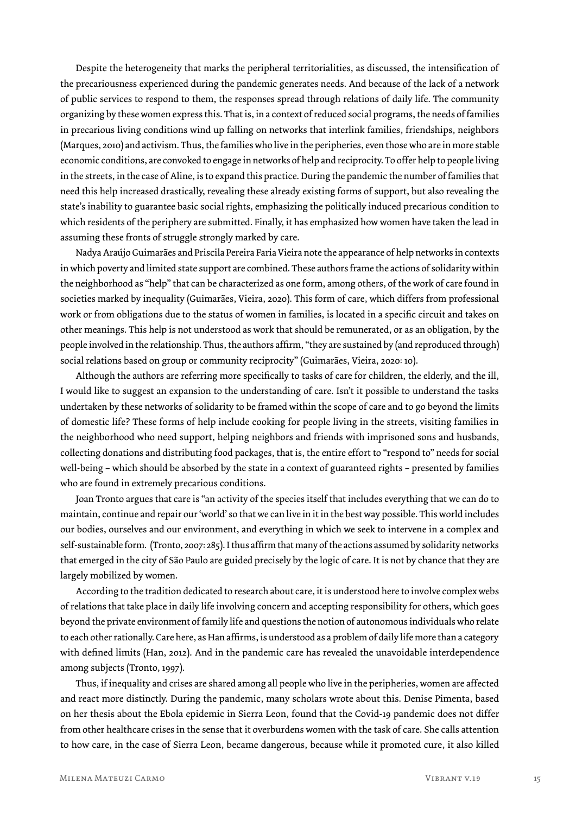Despite the heterogeneity that marks the peripheral territorialities, as discussed, the intensification of the precariousness experienced during the pandemic generates needs. And because of the lack of a network of public services to respond to them, the responses spread through relations of daily life. The community organizing by these women express this. That is, in a context of reduced social programs, the needs of families in precarious living conditions wind up falling on networks that interlink families, friendships, neighbors (Marques, 2010) and activism. Thus, the families who live in the peripheries, even those who are in more stable economic conditions, are convoked to engage in networks of help and reciprocity. To offer help to people living in the streets, in the case of Aline, is to expand this practice. During the pandemic the number of families that need this help increased drastically, revealing these already existing forms of support, but also revealing the state's inability to guarantee basic social rights, emphasizing the politically induced precarious condition to which residents of the periphery are submitted. Finally, it has emphasized how women have taken the lead in assuming these fronts of struggle strongly marked by care.

Nadya Araújo Guimarães and Priscila Pereira Faria Vieira note the appearance of help networks in contexts in which poverty and limited state support are combined. These authors frame the actions of solidarity within the neighborhood as "help" that can be characterized as one form, among others, of the work of care found in societies marked by inequality (Guimarães, Vieira, 2020). This form of care, which differs from professional work or from obligations due to the status of women in families, is located in a specific circuit and takes on other meanings. This help is not understood as work that should be remunerated, or as an obligation, by the people involved in the relationship. Thus, the authors affirm, "they are sustained by (and reproduced through) social relations based on group or community reciprocity" (Guimarães, Vieira, 2020: 10).

Although the authors are referring more specifically to tasks of care for children, the elderly, and the ill, I would like to suggest an expansion to the understanding of care. Isn't it possible to understand the tasks undertaken by these networks of solidarity to be framed within the scope of care and to go beyond the limits of domestic life? These forms of help include cooking for people living in the streets, visiting families in the neighborhood who need support, helping neighbors and friends with imprisoned sons and husbands, collecting donations and distributing food packages, that is, the entire effort to "respond to" needs for social well-being – which should be absorbed by the state in a context of guaranteed rights – presented by families who are found in extremely precarious conditions.

Joan Tronto argues that care is "an activity of the species itself that includes everything that we can do to maintain, continue and repair our 'world' so that we can live in it in the best way possible. This world includes our bodies, ourselves and our environment, and everything in which we seek to intervene in a complex and self-sustainable form. (Tronto, 2007: 285). I thus affirm that many of the actions assumed by solidarity networks that emerged in the city of São Paulo are guided precisely by the logic of care. It is not by chance that they are largely mobilized by women.

According to the tradition dedicated to research about care, it is understood here to involve complex webs of relations that take place in daily life involving concern and accepting responsibility for others, which goes beyond the private environment of family life and questions the notion of autonomous individuals who relate to each other rationally. Care here, as Han affirms, is understood as a problem of daily life more than a category with defined limits (Han, 2012). And in the pandemic care has revealed the unavoidable interdependence among subjects (Tronto, 1997).

Thus, if inequality and crises are shared among all people who live in the peripheries, women are affected and react more distinctly. During the pandemic, many scholars wrote about this. Denise Pimenta, based on her thesis about the Ebola epidemic in Sierra Leon, found that the Covid-19 pandemic does not differ from other healthcare crises in the sense that it overburdens women with the task of care. She calls attention to how care, in the case of Sierra Leon, became dangerous, because while it promoted cure, it also killed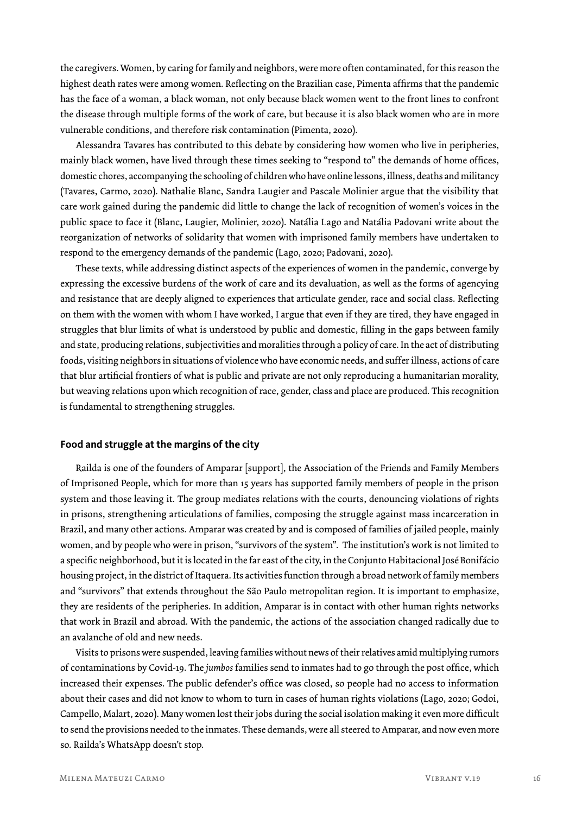the caregivers. Women, by caring for family and neighbors, were more often contaminated, for this reason the highest death rates were among women. Reflecting on the Brazilian case, Pimenta affirms that the pandemic has the face of a woman, a black woman, not only because black women went to the front lines to confront the disease through multiple forms of the work of care, but because it is also black women who are in more vulnerable conditions, and therefore risk contamination (Pimenta, 2020).

Alessandra Tavares has contributed to this debate by considering how women who live in peripheries, mainly black women, have lived through these times seeking to "respond to" the demands of home offices, domestic chores, accompanying the schooling of children who have online lessons, illness, deaths and militancy (Tavares, Carmo, 2020). Nathalie Blanc, Sandra Laugier and Pascale Molinier argue that the visibility that care work gained during the pandemic did little to change the lack of recognition of women's voices in the public space to face it (Blanc, Laugier, Molinier, 2020). Natália Lago and Natália Padovani write about the reorganization of networks of solidarity that women with imprisoned family members have undertaken to respond to the emergency demands of the pandemic (Lago, 2020; Padovani, 2020).

These texts, while addressing distinct aspects of the experiences of women in the pandemic, converge by expressing the excessive burdens of the work of care and its devaluation, as well as the forms of agencying and resistance that are deeply aligned to experiences that articulate gender, race and social class. Reflecting on them with the women with whom I have worked, I argue that even if they are tired, they have engaged in struggles that blur limits of what is understood by public and domestic, filling in the gaps between family and state, producing relations, subjectivities and moralities through a policy of care. In the act of distributing foods, visiting neighbors in situations of violence who have economic needs, and suffer illness, actions of care that blur artificial frontiers of what is public and private are not only reproducing a humanitarian morality, but weaving relations upon which recognition of race, gender, class and place are produced. This recognition is fundamental to strengthening struggles.

#### **Food and struggle at the margins of the city**

Railda is one of the founders of Amparar [support], the Association of the Friends and Family Members of Imprisoned People, which for more than 15 years has supported family members of people in the prison system and those leaving it. The group mediates relations with the courts, denouncing violations of rights in prisons, strengthening articulations of families, composing the struggle against mass incarceration in Brazil, and many other actions. Amparar was created by and is composed of families of jailed people, mainly women, and by people who were in prison, "survivors of the system". The institution's work is not limited to a specific neighborhood, but it is located in the far east of the city, in the Conjunto Habitacional José Bonifácio housing project, in the district of Itaquera. Its activities function through a broad network of family members and "survivors" that extends throughout the São Paulo metropolitan region. It is important to emphasize, they are residents of the peripheries. In addition, Amparar is in contact with other human rights networks that work in Brazil and abroad. With the pandemic, the actions of the association changed radically due to an avalanche of old and new needs.

Visits to prisons were suspended, leaving families without news of their relatives amid multiplying rumors of contaminations by Covid-19. The *jumbos* families send to inmates had to go through the post office, which increased their expenses. The public defender's office was closed, so people had no access to information about their cases and did not know to whom to turn in cases of human rights violations (Lago, 2020; Godoi, Campello, Malart, 2020). Many women lost their jobs during the social isolation making it even more difficult to send the provisions needed to the inmates. These demands, were all steered to Amparar, and now even more so. Railda's WhatsApp doesn't stop.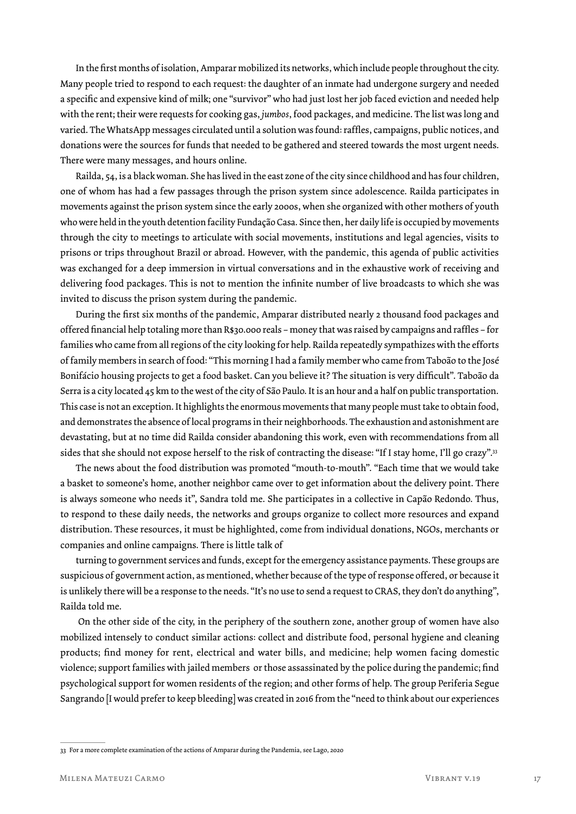In the first months of isolation, Amparar mobilized its networks, which include people throughout the city. Many people tried to respond to each request: the daughter of an inmate had undergone surgery and needed a specific and expensive kind of milk; one "survivor" who had just lost her job faced eviction and needed help with the rent; their were requests for cooking gas, *jumbos*, food packages, and medicine. The list was long and varied. The WhatsApp messages circulated until a solution was found: raffles, campaigns, public notices, and donations were the sources for funds that needed to be gathered and steered towards the most urgent needs. There were many messages, and hours online.

Railda, 54, is a black woman. She has lived in the east zone of the city since childhood and has four children, one of whom has had a few passages through the prison system since adolescence. Railda participates in movements against the prison system since the early 2000s, when she organized with other mothers of youth who were held in the youth detention facility Fundação Casa. Since then, her daily life is occupied by movements through the city to meetings to articulate with social movements, institutions and legal agencies, visits to prisons or trips throughout Brazil or abroad. However, with the pandemic, this agenda of public activities was exchanged for a deep immersion in virtual conversations and in the exhaustive work of receiving and delivering food packages. This is not to mention the infinite number of live broadcasts to which she was invited to discuss the prison system during the pandemic.

During the first six months of the pandemic, Amparar distributed nearly 2 thousand food packages and offered financial help totaling more than R\$30.000 reals – money that was raised by campaigns and raffles – for families who came from all regions of the city looking for help. Railda repeatedly sympathizes with the efforts of family members in search of food: "This morning I had a family member who came from Taboão to the José Bonifácio housing projects to get a food basket. Can you believe it? The situation is very difficult". Taboão da Serra is a city located 45 km to the west of the city of São Paulo. It is an hour and a half on public transportation. This case is not an exception. It highlights the enormous movements that many people must take to obtain food, and demonstrates the absence of local programs in their neighborhoods. The exhaustion and astonishment are devastating, but at no time did Railda consider abandoning this work, even with recommendations from all sides that she should not expose herself to the risk of contracting the disease: "If I stay home, I'll go crazy".<sup>33</sup>

The news about the food distribution was promoted "mouth-to-mouth". "Each time that we would take a basket to someone's home, another neighbor came over to get information about the delivery point. There is always someone who needs it", Sandra told me. She participates in a collective in Capão Redondo. Thus, to respond to these daily needs, the networks and groups organize to collect more resources and expand distribution. These resources, it must be highlighted, come from individual donations, NGOs, merchants or companies and online campaigns. There is little talk of

turning to government services and funds, except for the emergency assistance payments. These groups are suspicious of government action, as mentioned, whether because of the type of response offered, or because it is unlikely there will be a response to the needs. "It's no use to send a request to CRAS, they don't do anything", Railda told me.

 On the other side of the city, in the periphery of the southern zone, another group of women have also mobilized intensely to conduct similar actions: collect and distribute food, personal hygiene and cleaning products; find money for rent, electrical and water bills, and medicine; help women facing domestic violence; support families with jailed members or those assassinated by the police during the pandemic; find psychological support for women residents of the region; and other forms of help. The group Periferia Segue Sangrando [I would prefer to keep bleeding] was created in 2016 from the "need to think about our experiences

<sup>33</sup> For a more complete examination of the actions of Amparar during the Pandemia, see Lago, 2020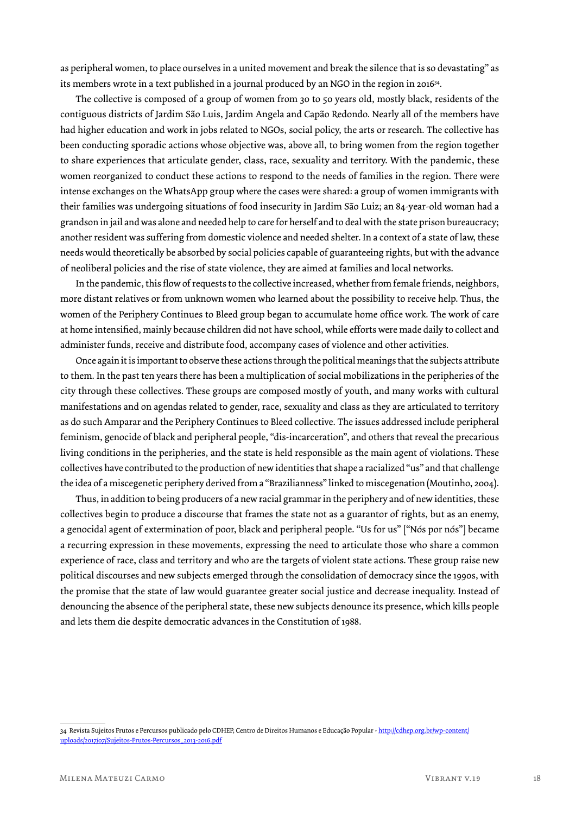as peripheral women, to place ourselves in a united movement and break the silence that is so devastating" as its members wrote in a text published in a journal produced by an NGO in the region in 201634.

The collective is composed of a group of women from 30 to 50 years old, mostly black, residents of the contiguous districts of Jardim São Luis, Jardim Angela and Capão Redondo. Nearly all of the members have had higher education and work in jobs related to NGOs, social policy, the arts or research. The collective has been conducting sporadic actions whose objective was, above all, to bring women from the region together to share experiences that articulate gender, class, race, sexuality and territory. With the pandemic, these women reorganized to conduct these actions to respond to the needs of families in the region. There were intense exchanges on the WhatsApp group where the cases were shared: a group of women immigrants with their families was undergoing situations of food insecurity in Jardim São Luiz; an 84-year-old woman had a grandson in jail and was alone and needed help to care for herself and to deal with the state prison bureaucracy; another resident was suffering from domestic violence and needed shelter. In a context of a state of law, these needs would theoretically be absorbed by social policies capable of guaranteeing rights, but with the advance of neoliberal policies and the rise of state violence, they are aimed at families and local networks.

In the pandemic, this flow of requests to the collective increased, whether from female friends, neighbors, more distant relatives or from unknown women who learned about the possibility to receive help. Thus, the women of the Periphery Continues to Bleed group began to accumulate home office work. The work of care at home intensified, mainly because children did not have school, while efforts were made daily to collect and administer funds, receive and distribute food, accompany cases of violence and other activities.

Once again it is important to observe these actions through the political meanings that the subjects attribute to them. In the past ten years there has been a multiplication of social mobilizations in the peripheries of the city through these collectives. These groups are composed mostly of youth, and many works with cultural manifestations and on agendas related to gender, race, sexuality and class as they are articulated to territory as do such Amparar and the Periphery Continues to Bleed collective. The issues addressed include peripheral feminism, genocide of black and peripheral people, "dis-incarceration", and others that reveal the precarious living conditions in the peripheries, and the state is held responsible as the main agent of violations. These collectives have contributed to the production of new identities that shape a racialized "us" and that challenge the idea of a miscegenetic periphery derived from a "Brazilianness" linked to miscegenation (Moutinho, 2004).

Thus, in addition to being producers of a new racial grammar in the periphery and of new identities, these collectives begin to produce a discourse that frames the state not as a guarantor of rights, but as an enemy, a genocidal agent of extermination of poor, black and peripheral people. "Us for us" ["Nós por nós"] became a recurring expression in these movements, expressing the need to articulate those who share a common experience of race, class and territory and who are the targets of violent state actions. These group raise new political discourses and new subjects emerged through the consolidation of democracy since the 1990s, with the promise that the state of law would guarantee greater social justice and decrease inequality. Instead of denouncing the absence of the peripheral state, these new subjects denounce its presence, which kills people and lets them die despite democratic advances in the Constitution of 1988.

<sup>34</sup> Revista Sujeitos Frutos e Percursos publicado pelo CDHEP, Centro de Direitos Humanos e Educação Popular - http://cdhep.org.br/wp-content/ uploads/2017/07/Sujeitos-Frutos-Percursos\_2013-2016.pdf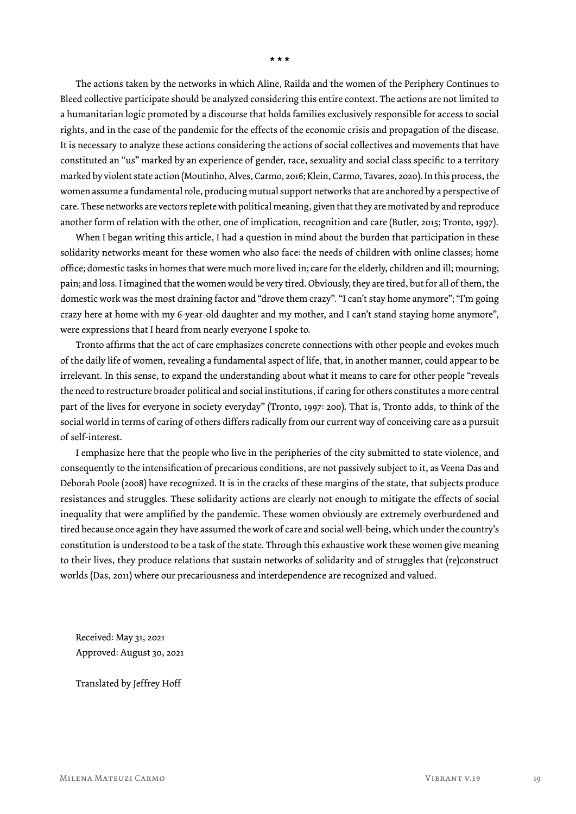The actions taken by the networks in which Aline, Railda and the women of the Periphery Continues to Bleed collective participate should be analyzed considering this entire context. The actions are not limited to a humanitarian logic promoted by a discourse that holds families exclusively responsible for access to social rights, and in the case of the pandemic for the effects of the economic crisis and propagation of the disease. It is necessary to analyze these actions considering the actions of social collectives and movements that have constituted an "us" marked by an experience of gender, race, sexuality and social class specific to a territory marked by violent state action (Moutinho, Alves, Carmo, 2016; Klein, Carmo, Tavares, 2020). In this process, the women assume a fundamental role, producing mutual support networks that are anchored by a perspective of care. These networks are vectors replete with political meaning, given that they are motivated by and reproduce another form of relation with the other, one of implication, recognition and care (Butler, 2015; Tronto, 1997).

When I began writing this article, I had a question in mind about the burden that participation in these solidarity networks meant for these women who also face: the needs of children with online classes; home office; domestic tasks in homes that were much more lived in; care for the elderly, children and ill; mourning; pain; and loss. I imagined that the women would be very tired. Obviously, they are tired, but for all of them, the domestic work was the most draining factor and "drove them crazy". "I can't stay home anymore"; "I'm going crazy here at home with my 6-year-old daughter and my mother, and I can't stand staying home anymore", were expressions that I heard from nearly everyone I spoke to.

Tronto affirms that the act of care emphasizes concrete connections with other people and evokes much of the daily life of women, revealing a fundamental aspect of life, that, in another manner, could appear to be irrelevant. In this sense, to expand the understanding about what it means to care for other people "reveals the need to restructure broader political and social institutions, if caring for others constitutes a more central part of the lives for everyone in society everyday" (Tronto, 1997: 200). That is, Tronto adds, to think of the social world in terms of caring of others differs radically from our current way of conceiving care as a pursuit of self-interest.

I emphasize here that the people who live in the peripheries of the city submitted to state violence, and consequently to the intensification of precarious conditions, are not passively subject to it, as Veena Das and Deborah Poole (2008) have recognized. It is in the cracks of these margins of the state, that subjects produce resistances and struggles. These solidarity actions are clearly not enough to mitigate the effects of social inequality that were amplified by the pandemic. These women obviously are extremely overburdened and tired because once again they have assumed the work of care and social well-being, which under the country's constitution is understood to be a task of the state. Through this exhaustive work these women give meaning to their lives, they produce relations that sustain networks of solidarity and of struggles that (re)construct worlds (Das, 2011) where our precariousness and interdependence are recognized and valued.

Received: May 31, 2021 Approved: August 30, 2021

Translated by Jeffrey Hoff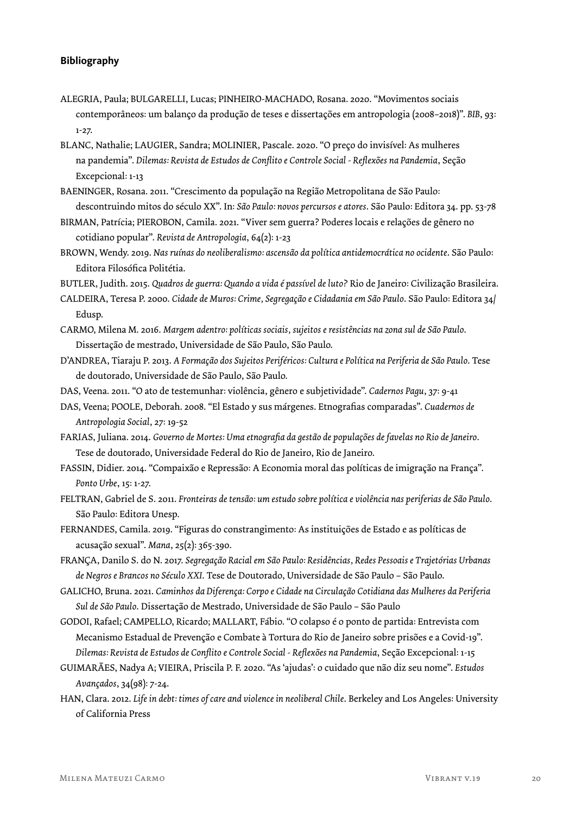### **Bibliography**

- ALEGRIA, Paula; BULGARELLI, Lucas; PINHEIRO-MACHADO, Rosana. 2020. "Movimentos sociais contemporâneos: um balanço da produção de teses e dissertações em antropologia (2008–2018)". *BIB*, 93: 1-27.
- BLANC, Nathalie; LAUGIER, Sandra; MOLINIER, Pascale. 2020. "O preço do invisível: As mulheres na pandemia". *Dilemas: Revista de Estudos de Conflito e Controle Social - Reflexões na Pandemia*, Seção Excepcional: 1-13
- BAENINGER, Rosana. 2011. "Crescimento da população na Região Metropolitana de São Paulo: descontruindo mitos do século XX". In: *São Paulo: novos percursos e atores*. São Paulo: Editora 34. pp. 53-78
- BIRMAN, Patrícia; PIEROBON, Camila. 2021. "Viver sem guerra? Poderes locais e relações de gênero no cotidiano popular". *Revista de Antropologia*, 64(2): 1-23
- BROWN, Wendy. 2019. *Nas ruínas do neoliberalismo: ascensão da política antidemocrática no ocidente*. São Paulo: Editora Filosófica Politétia.

BUTLER, Judith. 2015. *Quadros de guerra: Quando a vida é passível de luto?* Rio de Janeiro: Civilização Brasileira.

- CALDEIRA, Teresa P. 2000. *Cidade de Muros: Crime, Segregação e Cidadania em São Paulo*. São Paulo: Editora 34/ Edusp.
- CARMO, Milena M. 2016. *Margem adentro: políticas sociais, sujeitos e resistências na zona sul de São Paulo*. Dissertação de mestrado, Universidade de São Paulo, São Paulo.
- D'ANDREA, Tiaraju P. 2013. *A Formação dos Sujeitos Periféricos: Cultura e Política na Periferia de São Paulo*. Tese de doutorado, Universidade de São Paulo, São Paulo.
- DAS, Veena. 2011. "O ato de testemunhar: violência, gênero e subjetividade". *Cadernos Pagu*, 37: 9-41

DAS, Veena; POOLE, Deborah. 2008. "El Estado y sus márgenes. Etnografias comparadas". *Cuadernos de Antropologia Social*, 27: 19-52

- FARIAS, Juliana. 2014. *Governo de Mortes: Uma etnografia da gestão de populações de favelas no Rio de Janeiro*. Tese de doutorado, Universidade Federal do Rio de Janeiro, Rio de Janeiro.
- FASSIN, Didier. 2014. "Compaixão e Repressão: A Economia moral das políticas de imigração na França". *Ponto Urbe*, 15: 1-27.
- FELTRAN, Gabriel de S. 2011. *Fronteiras de tensão: um estudo sobre política e violência nas periferias de São Paulo*. São Paulo: Editora Unesp.
- FERNANDES, Camila. 2019. "Figuras do constrangimento: As instituições de Estado e as políticas de acusação sexual". *Mana*, 25(2): 365-390.
- FRANÇA, Danilo S. do N. 2017. *Segregação Racial em São Paulo: Residências, Redes Pessoais e Trajetórias Urbanas de Negros e Brancos no Século XXI*. Tese de Doutorado, Universidade de São Paulo – São Paulo.
- GALICHO, Bruna. 2021. *Caminhos da Diferença: Corpo e Cidade na Circulação Cotidiana das Mulheres da Periferia Sul de São Paulo*. Dissertação de Mestrado, Universidade de São Paulo – São Paulo
- GODOI, Rafael; CAMPELLO, Ricardo; MALLART, Fábio. "O colapso é o ponto de partida: Entrevista com Mecanismo Estadual de Prevenção e Combate à Tortura do Rio de Janeiro sobre prisões e a Covid-19". *Dilemas: Revista de Estudos de Conflito e Controle Social - Reflexões na Pandemia*, Seção Excepcional: 1-15
- GUIMARÃES, Nadya A; VIEIRA, Priscila P. F. 2020. "As 'ajudas': o cuidado que não diz seu nome". *Estudos Avançados*, 34(98): 7-24.
- HAN, Clara. 2012. *Life in debt: times of care and violence in neoliberal Chile*. Berkeley and Los Angeles: University of California Press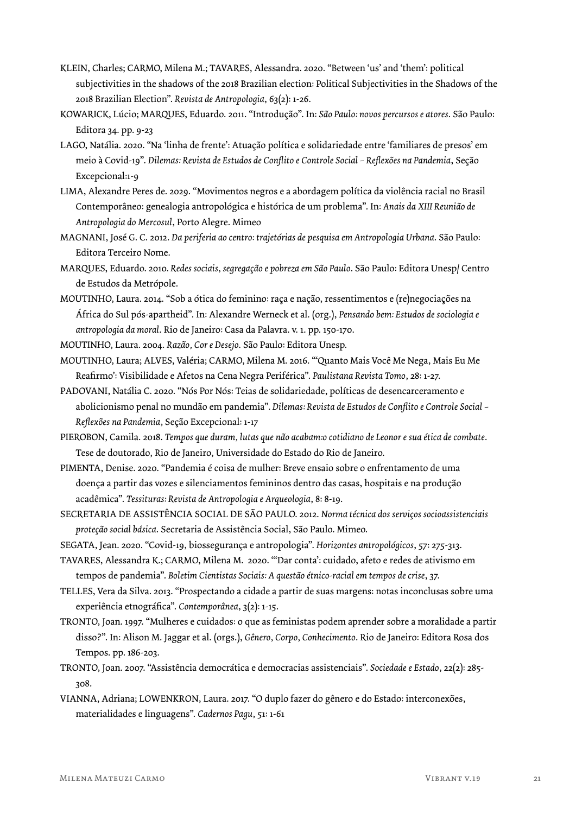- KLEIN, Charles; CARMO, Milena M.; TAVARES, Alessandra. 2020. "Between 'us' and 'them': political subjectivities in the shadows of the 2018 Brazilian election: Political Subjectivities in the Shadows of the 2018 Brazilian Election". *Revista de Antropologia*, 63(2): 1-26.
- KOWARICK, Lúcio; MARQUES, Eduardo. 2011. "Introdução". In: *São Paulo: novos percursos e atores*. São Paulo: Editora 34. pp. 9-23
- LAGO, Natália. 2020. "Na 'linha de frente': Atuação política e solidariedade entre 'familiares de presos' em meio à Covid-19". *Dilemas: Revista de Estudos de Conflito e Controle Social – Reflexões na Pandemia*, Seção Excepcional:1-9
- LIMA, Alexandre Peres de. 2029. "Movimentos negros e a abordagem política da violência racial no Brasil Contemporâneo: genealogia antropológica e histórica de um problema". In: *Anais da XIII Reunião de Antropologia do Mercosul*, Porto Alegre. Mimeo
- MAGNANI, José G. C. 2012. *Da periferia ao centro: trajetórias de pesquisa em Antropologia Urbana*. São Paulo: Editora Terceiro Nome.
- MARQUES, Eduardo. 2010*. Redes sociais, segregação e pobreza em São Paulo*. São Paulo: Editora Unesp/ Centro de Estudos da Metrópole.
- MOUTINHO, Laura. 2014. "Sob a ótica do feminino: raça e nação, ressentimentos e (re)negociações na África do Sul pós-apartheid". In: Alexandre Werneck et al. (org.), *Pensando bem: Estudos de sociologia e antropologia da moral*. Rio de Janeiro: Casa da Palavra. v. 1. pp. 150-170.
- MOUTINHO, Laura. 2004. *Razão, Cor e Desejo*. São Paulo: Editora Unesp.
- MOUTINHO, Laura; ALVES, Valéria; CARMO, Milena M. 2016. "'Quanto Mais Você Me Nega, Mais Eu Me Reafirmo': Visibilidade e Afetos na Cena Negra Periférica". *Paulistana Revista Tomo*, 28: 1-27.
- PADOVANI, Natália C. 2020. "Nós Por Nós: Teias de solidariedade, políticas de desencarceramento e abolicionismo penal no mundão em pandemia"*. Dilemas: Revista de Estudos de Conflito e Controle Social – Reflexões na Pandemia*, Seção Excepcional: 1-17
- PIEROBON, Camila. 2018. *Tempos que duram, lutas que não acabam:o cotidiano de Leonor e sua ética de combate*. Tese de doutorado, Rio de Janeiro, Universidade do Estado do Rio de Janeiro.
- PIMENTA, Denise. 2020. "Pandemia é coisa de mulher: Breve ensaio sobre o enfrentamento de uma doença a partir das vozes e silenciamentos femininos dentro das casas, hospitais e na produção acadêmica". *Tessituras: Revista de Antropologia e Arqueologia*, 8: 8-19.
- SECRETARIA DE ASSISTÊNCIA SOCIAL DE SÃO PAULO. 2012. *Norma técnica dos serviços socioassistenciais proteção social básica*. Secretaria de Assistência Social, São Paulo. Mimeo.
- SEGATA, Jean. 2020. "Covid-19, biossegurança e antropologia". *Horizontes antropológicos*, 57: 275-313.
- TAVARES, Alessandra K.; CARMO, Milena M. 2020. "'Dar conta': cuidado, afeto e redes de ativismo em tempos de pandemia". *Boletim Cientistas Sociais: A questão étnico-racial em tempos de crise*, 37.
- TELLES, Vera da Silva. 2013. "Prospectando a cidade a partir de suas margens: notas inconclusas sobre uma experiência etnográfica". *Contemporânea*, 3(2): 1-15.
- TRONTO, Joan. 1997. "Mulheres e cuidados: o que as feministas podem aprender sobre a moralidade a partir disso?". In: Alison M. Jaggar et al. (orgs.), *Gênero, Corpo, Conhecimento*. Rio de Janeiro: Editora Rosa dos Tempos. pp. 186-203.
- TRONTO, Joan. 2007. "Assistência democrática e democracias assistenciais". *Sociedade e Estado*, 22(2): 285- 308.
- VIANNA, Adriana; LOWENKRON, Laura. 2017. "O duplo fazer do gênero e do Estado: interconexões, materialidades e linguagens". *Cadernos Pagu*, 51: 1-61